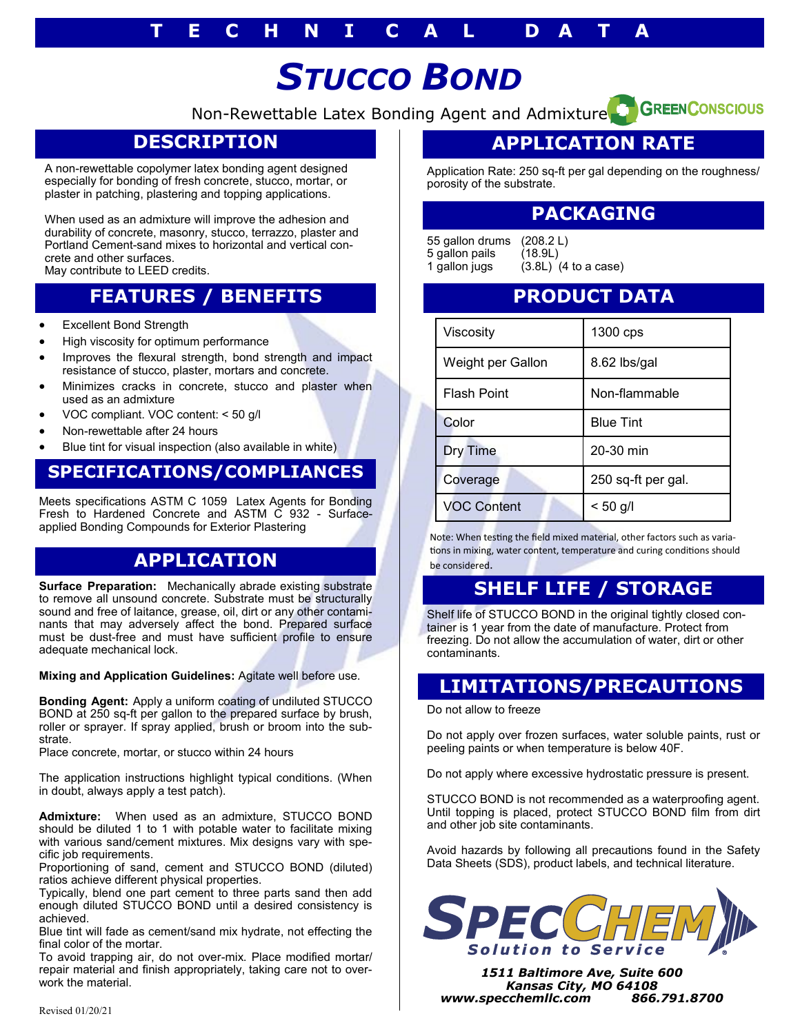# *STUCCO BOND*

Non-Rewettable Latex Bonding Agent and Admixture<sup>2</sup> GREENCONSCIOUS

## **DESCRIPTION**

A non-rewettable copolymer latex bonding agent designed especially for bonding of fresh concrete, stucco, mortar, or plaster in patching, plastering and topping applications.

When used as an admixture will improve the adhesion and durability of concrete, masonry, stucco, terrazzo, plaster and Portland Cement-sand mixes to horizontal and vertical concrete and other surfaces.

May contribute to LEED credits.

## **FEATURES / BENEFITS**

- Excellent Bond Strength
- High viscosity for optimum performance
- Improves the flexural strength, bond strength and impact resistance of stucco, plaster, mortars and concrete.
- Minimizes cracks in concrete, stucco and plaster when used as an admixture
- VOC compliant. VOC content: < 50 g/l
- Non-rewettable after 24 hours
- Blue tint for visual inspection (also available in white)

#### **SPECIFICATIONS/COMPLIANCES**

Meets specifications ASTM C 1059 Latex Agents for Bonding Fresh to Hardened Concrete and ASTM C 932 - Surfaceapplied Bonding Compounds for Exterior Plastering

#### **APPLICATION**

**Surface Preparation:** Mechanically abrade existing substrate to remove all unsound concrete. Substrate must be structurally sound and free of laitance, grease, oil, dirt or any other contaminants that may adversely affect the bond. Prepared surface must be dust-free and must have sufficient profile to ensure adequate mechanical lock.

**Mixing and Application Guidelines:** Agitate well before use.

**Bonding Agent:** Apply a uniform coating of undiluted STUCCO BOND at 250 sq-ft per gallon to the prepared surface by brush, roller or sprayer. If spray applied, brush or broom into the substrate.

Place concrete, mortar, or stucco within 24 hours

The application instructions highlight typical conditions. (When in doubt, always apply a test patch).

**Admixture:** When used as an admixture, STUCCO BOND should be diluted 1 to 1 with potable water to facilitate mixing with various sand/cement mixtures. Mix designs vary with specific job requirements.

Proportioning of sand, cement and STUCCO BOND (diluted) ratios achieve different physical properties.

Typically, blend one part cement to three parts sand then add enough diluted STUCCO BOND until a desired consistency is achieved.

Blue tint will fade as cement/sand mix hydrate, not effecting the final color of the mortar.

To avoid trapping air, do not over-mix. Place modified mortar/ repair material and finish appropriately, taking care not to overwork the material.

# **APPLICATION RATE**

Application Rate: 250 sq-ft per gal depending on the roughness/ porosity of the substrate.

#### **PACKAGING**

55 gallon drums (208.2 L) 5 gallon pails (18.9L)<br>1 gallon jugs (3.8L)  $(3.8L)$   $(4$  to a case)

#### **PRODUCT DATA**

| Viscosity          | 1300 cps           |
|--------------------|--------------------|
| Weight per Gallon  | 8.62 lbs/gal       |
| <b>Flash Point</b> | Non-flammable      |
| Color              | <b>Blue Tint</b>   |
| <b>Dry Time</b>    | 20-30 min          |
| Coverage           | 250 sq-ft per gal. |
| <b>VOC Content</b> | $< 50$ g/l         |

Note: When testing the field mixed material, other factors such as variations in mixing, water content, temperature and curing conditions should be considered.

## **SHELF LIFE / STORAGE**

Shelf life of STUCCO BOND in the original tightly closed container is 1 year from the date of manufacture. Protect from freezing. Do not allow the accumulation of water, dirt or other contaminants.

#### **LIMITATIONS/PRECAUTIONS**

Do not allow to freeze

Do not apply over frozen surfaces, water soluble paints, rust or peeling paints or when temperature is below 40F.

Do not apply where excessive hydrostatic pressure is present.

STUCCO BOND is not recommended as a waterproofing agent. Until topping is placed, protect STUCCO BOND film from dirt and other job site contaminants.

Avoid hazards by following all precautions found in the Safety Data Sheets (SDS), product labels, and technical literature.



*1511 Baltimore Ave, Suite 600 Kansas City, MO 64108 www.specchemllc.com 866.791.8700*